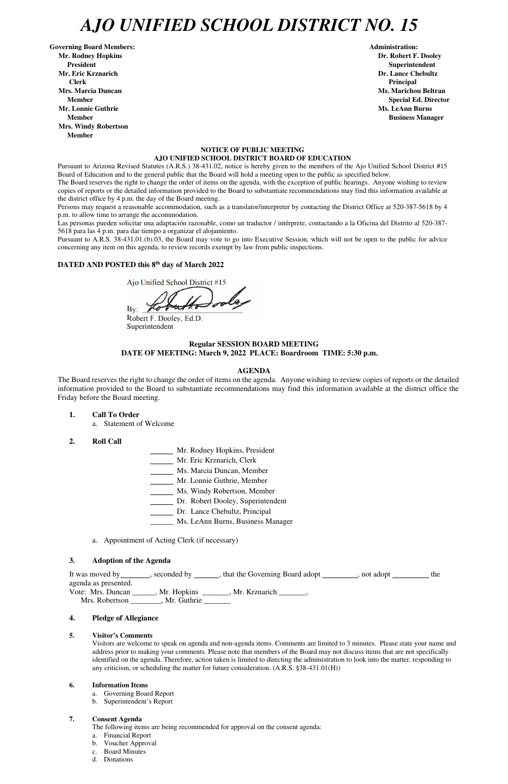## *AJO UNIFIED SCHOOL DISTRICT NO. 15*

Governing Board Members: **Administration: Administration: Administration: Mr. Rodney Hopkins Dr. Robert F. Dooley President Superintendent Mr. Eric Krznarich Dr. Lance Chebultz Clerk Principal Mrs. Marcia Duncan Ms. Marichou Beltran** *Ms. Marichou Beltran* **Ms. Marichou Beltran <b>Ms. Marichou Beltran Mr. Lonnie Guthrie Ms. LeAnn Burns**  $\mathbf{M}$ **s. LeAnn Burns**  $\mathbf{M}$ **s. LeAnn Burns**  $\mathbf{M}$ **s. LeAnn Burns**  $\mathbf{M}$ **s. LeAnn Burns**  $\mathbf{M}$ **s. LeAnn Burns**  $\mathbf{M}$ **s. LeAnn Burns**  $\mathbf{M}$ **s. Le** $\mathbf{M}$ **s. Le** $\mathbf{M}$ **s. Le** $\mathbf{M}$ **Member Business Manager Business Manager Business Manager Mrs. Windy Robertson Member** 

#### **NOTICE OF PUBLIC MEETING AJO UNIFIED SCHOOL DISTRICT BOARD OF EDUCATION**

Pursuant to Arizona Revised Statutes (A.R.S.) 38-431.02, notice is hereby given to the members of the Ajo Unified School District #15 Board of Education and to the general public that the Board will hold a meeting open to the public as specified below.

The Board reserves the right to change the order of items on the agenda, with the exception of public hearings. Anyone wishing to review copies of reports or the detailed information provided to the Board to substantiate recommendations may find this information available at the district office by 4 p.m. the day of the Board meeting.

Persons may request a reasonable accommodation, such as a translator/interpreter by contacting the District Office at 520-387-5618 by 4 p.m. to allow time to arrange the accommodation.

Las personas pueden solicitar una adaptación razonable, como un traductor / intérprete, contactando a la Oficina del Distrito al 520-387- 5618 para las 4 p.m. para dar tiempo a organizar el alojamiento.

agenda as presented. Vote: Mrs. Duncan \_\_\_\_\_\_, Mr. Hopkins \_\_\_\_\_\_\_, Mr. Krznarich \_\_\_\_\_\_\_, Mrs. Robertson \_\_\_\_\_\_\_, Mr. Guthrie \_\_\_\_\_\_\_

Pursuant to A.R.S. 38-431.01.(b).03, the Board may vote to go into Executive Session, which will not be open to the public for advice concerning any item on this agenda, to review records exempt by law from public inspections.

### **DATED AND POSTED this 8<sup>th</sup> day of March 2022**

Ajo Unified School District #15

By:  $\mathscr{I}$ 

Robert F. Dooley, Ed.D. Superintendent

#### **Regular SESSION BOARD MEETING DATE OF MEETING: March 9, 2022 PLACE: Boardroom TIME: 5:30 p.m.**

#### **AGENDA**

The Board reserves the right to change the order of items on the agenda. Anyone wishing to review copies of reports or the detailed information provided to the Board to substantiate recommendations may find this information available at the district office the Friday before the Board meeting.

- **1. Call To Order** 
	- a. Statement of Welcome
- **2. Roll Call**
- Mr. Rodney Hopkins, President
- Mr. Eric Krznarich, Clerk
- Ms. Marcia Duncan, Member
- Mr. Lonnie Guthrie, Member
- Ms. Windy Robertson, Member
- Dr. Robert Dooley, Superintendent
- Dr. Lance Chebultz, Principal
- \_\_\_\_\_\_ Ms. LeAnn Burns, Business Manager
- a. Appointment of Acting Clerk (if necessary)

#### **3. Adoption of the Agenda**

It was moved by \_\_\_\_\_\_\_, seconded by \_\_\_\_\_\_, that the Governing Board adopt \_\_\_\_\_\_\_\_, not adopt

**Member** Special Ed. Director **Special Ed. Director** 

#### **4. Pledge of Allegiance**

#### **5. Visitor's Comments**

Visitors are welcome to speak on agenda and non-agenda items. Comments are limited to 3 minutes. Please state your name and address prior to making your comments. Please note that members of the Board may not discuss items that are not specifically identified on the agenda. Therefore, action taken is limited to directing the administration to look into the matter, responding to any criticism, or scheduling the matter for future consideration. (A.R.S. §38-431.01(H))

#### **6. Information Items**

- a. Governing Board Report
- b. Superintendent's Report

#### **7. Consent Agenda**

The following items are being recommended for approval on the consent agenda:

- a. Financial Report
- b. Voucher Approval
- c. Board Minutes
- d. Donations